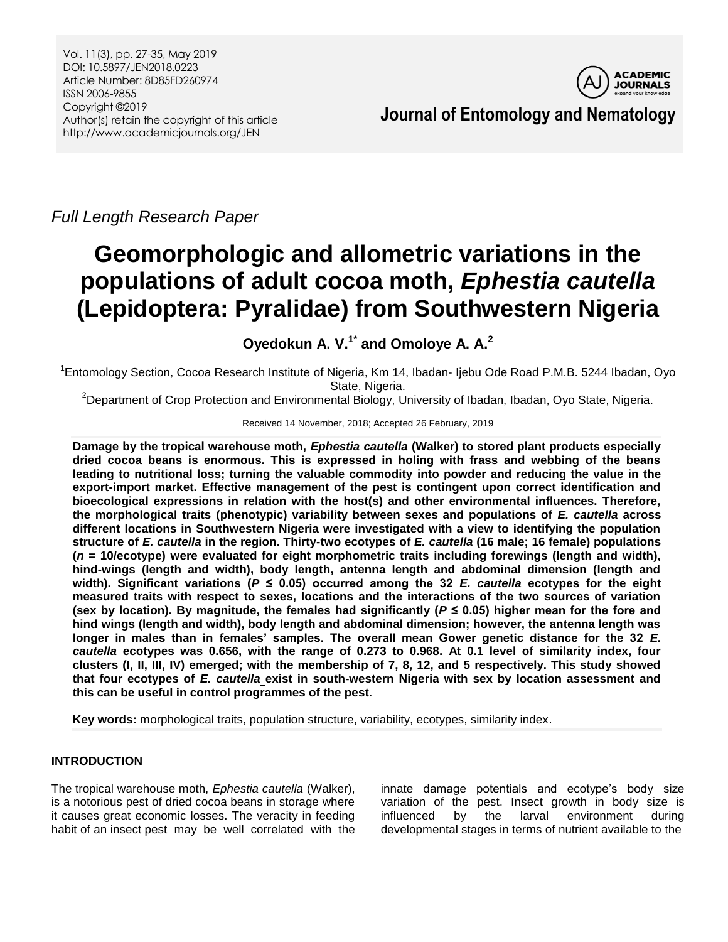

*Full Length Research Paper*

# **Geomorphologic and allometric variations in the populations of adult cocoa moth,** *Ephestia cautella* **(Lepidoptera: Pyralidae) from Southwestern Nigeria**

**Oyedokun A. V. 1\* and Omoloye A. A. 2**

<sup>1</sup>Entomology Section, Cocoa Research Institute of Nigeria, Km 14, Ibadan- Ijebu Ode Road P.M.B. 5244 Ibadan, Oyo State, Nigeria.

<sup>2</sup>Department of Crop Protection and Environmental Biology, University of Ibadan, Ibadan, Oyo State, Nigeria.

Received 14 November, 2018; Accepted 26 February, 2019

**Damage by the tropical warehouse moth,** *Ephestia cautella* **(Walker) to stored plant products especially dried cocoa beans is enormous. This is expressed in holing with frass and webbing of the beans leading to nutritional loss; turning the valuable commodity into powder and reducing the value in the export-import market. Effective management of the pest is contingent upon correct identification and bioecological expressions in relation with the host(s) and other environmental influences. Therefore, the morphological traits (phenotypic) variability between sexes and populations of** *E. cautella* **across different locations in Southwestern Nigeria were investigated with a view to identifying the population structure of** *E. cautella* **in the region. Thirty-two ecotypes of** *E. cautella* **(16 male; 16 female) populations (***n* **= 10/ecotype) were evaluated for eight morphometric traits including forewings (length and width), hind-wings (length and width), body length, antenna length and abdominal dimension (length and**  width). Significant variations ( $P \le 0.05$ ) occurred among the 32 *E. cautella* ecotypes for the eight **measured traits with respect to sexes, locations and the interactions of the two sources of variation**  (sex by location). By magnitude, the females had significantly ( $P \le 0.05$ ) higher mean for the fore and **hind wings (length and width), body length and abdominal dimension; however, the antenna length was longer in males than in females' samples. The overall mean Gower genetic distance for the 32** *E. cautella* **ecotypes was 0.656, with the range of 0.273 to 0.968. At 0.1 level of similarity index, four clusters (I, II, III, IV) emerged; with the membership of 7, 8, 12, and 5 respectively. This study showed that four ecotypes of** *E. cautella* **exist in south-western Nigeria with sex by location assessment and this can be useful in control programmes of the pest.**

**Key words:** morphological traits, population structure, variability, ecotypes, similarity index.

# **INTRODUCTION**

The tropical warehouse moth, *Ephestia cautella* (Walker), is a notorious pest of dried cocoa beans in storage where it causes great economic losses. The veracity in feeding habit of an insect pest may be well correlated with the

innate damage potentials and ecotype's body size variation of the pest. Insect growth in body size is influenced by the larval environment during developmental stages in terms of nutrient available to the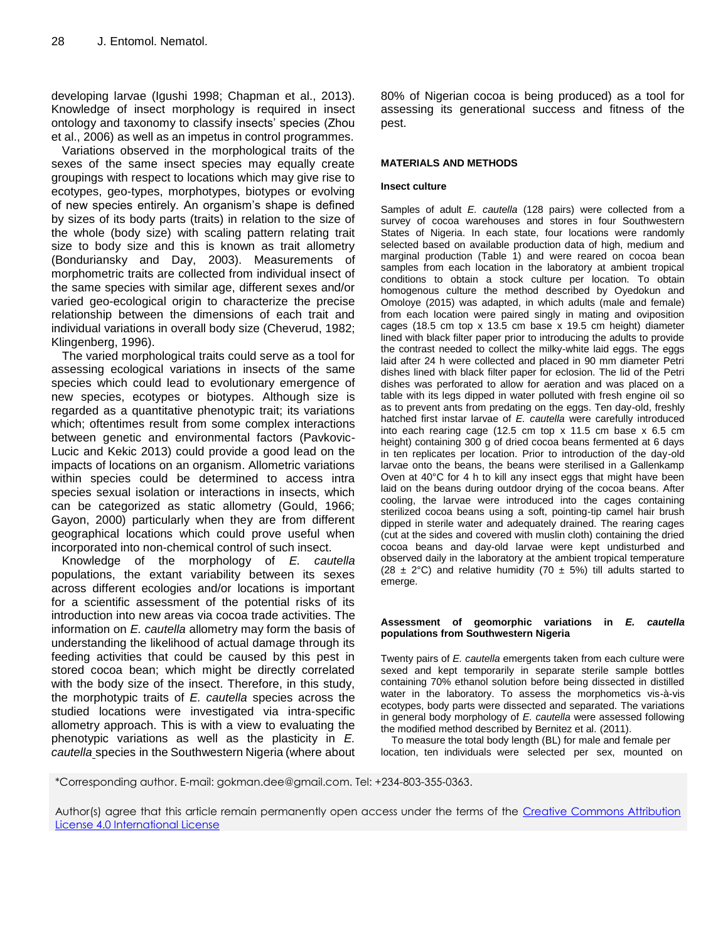developing larvae (Igushi 1998; Chapman et al., 2013). Knowledge of insect morphology is required in insect ontology and taxonomy to classify insects' species (Zhou et al., 2006) as well as an impetus in control programmes.

Variations observed in the morphological traits of the sexes of the same insect species may equally create groupings with respect to locations which may give rise to ecotypes, geo-types, morphotypes, biotypes or evolving of new species entirely. An organism's shape is defined by sizes of its body parts (traits) in relation to the size of the whole (body size) with scaling pattern relating trait size to body size and this is known as trait allometry (Bonduriansky and Day, 2003). Measurements of morphometric traits are collected from individual insect of the same species with similar age, different sexes and/or varied geo-ecological origin to characterize the precise relationship between the dimensions of each trait and individual variations in overall body size (Cheverud, 1982; Klingenberg, 1996).

The varied morphological traits could serve as a tool for assessing ecological variations in insects of the same species which could lead to evolutionary emergence of new species, ecotypes or biotypes. Although size is regarded as a quantitative phenotypic trait; its variations which; oftentimes result from some complex interactions between genetic and environmental factors (Pavkovic-Lucic and Kekic 2013) could provide a good lead on the impacts of locations on an organism. Allometric variations within species could be determined to access intra species sexual isolation or interactions in insects, which can be categorized as static allometry (Gould, 1966; Gayon, 2000) particularly when they are from different geographical locations which could prove useful when incorporated into non-chemical control of such insect.

Knowledge of the morphology of *E. cautella*  populations, the extant variability between its sexes across different ecologies and/or locations is important for a scientific assessment of the potential risks of its introduction into new areas via cocoa trade activities. The information on *E. cautella* allometry may form the basis of understanding the likelihood of actual damage through its feeding activities that could be caused by this pest in stored cocoa bean; which might be directly correlated with the body size of the insect. Therefore, in this study, the morphotypic traits of *E. cautella* species across the studied locations were investigated via intra-specific allometry approach. This is with a view to evaluating the phenotypic variations as well as the plasticity in *E. cautella* species in the Southwestern Nigeria (where about

80% of Nigerian cocoa is being produced) as a tool for assessing its generational success and fitness of the pest.

### **MATERIALS AND METHODS**

#### **Insect culture**

Samples of adult *E. cautella* (128 pairs) were collected from a survey of cocoa warehouses and stores in four Southwestern States of Nigeria. In each state, four locations were randomly selected based on available production data of high, medium and marginal production (Table 1) and were reared on cocoa bean samples from each location in the laboratory at ambient tropical conditions to obtain a stock culture per location. To obtain homogenous culture the method described by Oyedokun and Omoloye (2015) was adapted, in which adults (male and female) from each location were paired singly in mating and oviposition cages (18.5 cm top x 13.5 cm base x 19.5 cm height) diameter lined with black filter paper prior to introducing the adults to provide the contrast needed to collect the milky-white laid eggs. The eggs laid after 24 h were collected and placed in 90 mm diameter Petri dishes lined with black filter paper for eclosion. The lid of the Petri dishes was perforated to allow for aeration and was placed on a table with its legs dipped in water polluted with fresh engine oil so as to prevent ants from predating on the eggs. Ten day-old, freshly hatched first instar larvae of *E. cautella* were carefully introduced into each rearing cage (12.5 cm top x 11.5 cm base x 6.5 cm height) containing 300 g of dried cocoa beans fermented at 6 days in ten replicates per location. Prior to introduction of the day-old larvae onto the beans, the beans were sterilised in a Gallenkamp Oven at 40°C for 4 h to kill any insect eggs that might have been laid on the beans during outdoor drying of the cocoa beans. After cooling, the larvae were introduced into the cages containing sterilized cocoa beans using a soft, pointing-tip camel hair brush dipped in sterile water and adequately drained. The rearing cages (cut at the sides and covered with muslin cloth) containing the dried cocoa beans and day-old larvae were kept undisturbed and observed daily in the laboratory at the ambient tropical temperature (28  $\pm$  2°C) and relative humidity (70  $\pm$  5%) till adults started to emerge.

#### **Assessment of geomorphic variations in** *E. cautella* **populations from Southwestern Nigeria**

Twenty pairs of *E. cautella* emergents taken from each culture were sexed and kept temporarily in separate sterile sample bottles containing 70% ethanol solution before being dissected in distilled water in the laboratory. To assess the morphometics vis-à-vis ecotypes, body parts were dissected and separated. The variations in general body morphology of *E. cautella* were assessed following the modified method described by Bernitez et al*.* (2011).

To measure the total body length (BL) for male and female per location, ten individuals were selected per sex, mounted on

\*Corresponding author. E-mail: gokman.dee@gmail.com. Tel: +234-803-355-0363.

Author(s) agree that this article remain permanently open access under the terms of the Creative Commons Attribution [License 4.0 International License](http://creativecommons.org/licenses/by/4.0/deed.en_US)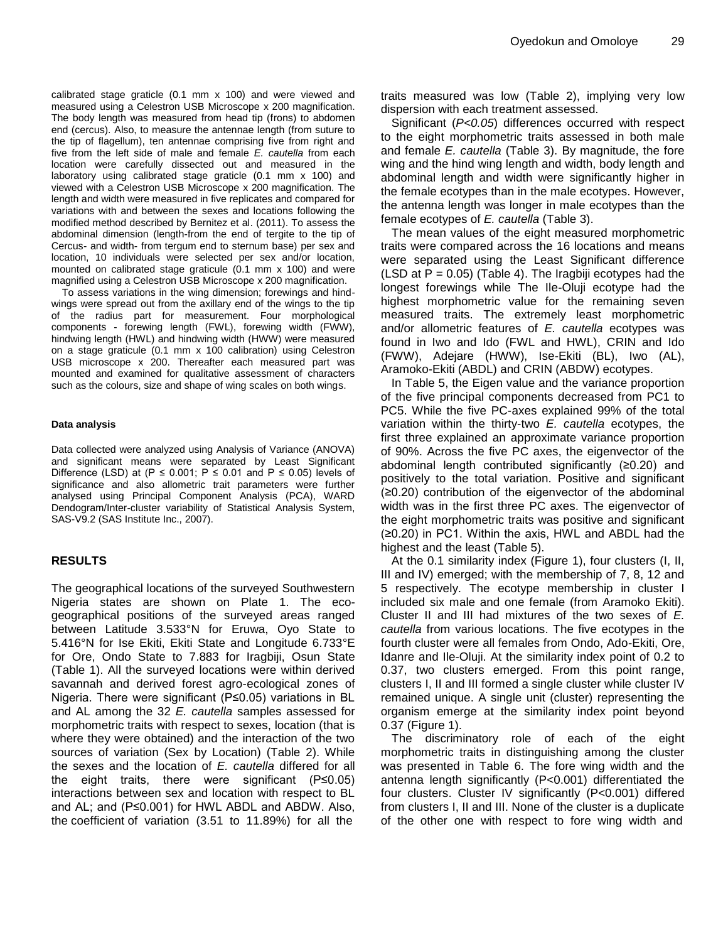calibrated stage graticle (0.1 mm x 100) and were viewed and measured using a Celestron USB Microscope x 200 magnification. The body length was measured from head tip (frons) to abdomen end (cercus). Also, to measure the antennae length (from suture to the tip of flagellum), ten antennae comprising five from right and five from the left side of male and female *E. cautella* from each location were carefully dissected out and measured in the laboratory using calibrated stage graticle (0.1 mm x 100) and viewed with a Celestron USB Microscope x 200 magnification. The length and width were measured in five replicates and compared for variations with and between the sexes and locations following the modified method described by Bernitez et al. (2011). To assess the abdominal dimension (length-from the end of tergite to the tip of Cercus- and width- from tergum end to sternum base) per sex and location, 10 individuals were selected per sex and/or location, mounted on calibrated stage graticule (0.1 mm x 100) and were magnified using a Celestron USB Microscope x 200 magnification.

To assess variations in the wing dimension; forewings and hindwings were spread out from the axillary end of the wings to the tip of the radius part for measurement. Four morphological components - forewing length (FWL), forewing width (FWW), hindwing length (HWL) and hindwing width (HWW) were measured on a stage graticule (0.1 mm x 100 calibration) using Celestron USB microscope x 200. Thereafter each measured part was mounted and examined for qualitative assessment of characters such as the colours, size and shape of wing scales on both wings.

#### **Data analysis**

Data collected were analyzed using Analysis of Variance (ANOVA) and significant means were separated by Least Significant Difference (LSD) at (P  $\leq$  0.001; P  $\leq$  0.01 and P  $\leq$  0.05) levels of significance and also allometric trait parameters were further analysed using Principal Component Analysis (PCA), WARD Dendogram/Inter-cluster variability of Statistical Analysis System, SAS-V9.2 (SAS Institute Inc., 2007).

## **RESULTS**

The geographical locations of the surveyed Southwestern Nigeria states are shown on Plate 1. The ecogeographical positions of the surveyed areas ranged between Latitude 3.533°N for Eruwa, Oyo State to 5.416°N for Ise Ekiti, Ekiti State and Longitude 6.733°E for Ore, Ondo State to 7.883 for Iragbiji, Osun State (Table 1). All the surveyed locations were within derived savannah and derived forest agro-ecological zones of Nigeria. There were significant (P≤0.05) variations in BL and AL among the 32 *E. cautella* samples assessed for morphometric traits with respect to sexes, location (that is where they were obtained) and the interaction of the two sources of variation (Sex by Location) (Table 2). While the sexes and the location of *E. cautella* differed for all the eight traits, there were significant (P≤0.05) interactions between sex and location with respect to BL and AL; and (P≤0.001) for HWL ABDL and ABDW. Also, the coefficient of variation (3.51 to 11.89%) for all the

traits measured was low (Table 2), implying very low dispersion with each treatment assessed.

Significant (*P<0.05*) differences occurred with respect to the eight morphometric traits assessed in both male and female *E. cautella* (Table 3). By magnitude, the fore wing and the hind wing length and width, body length and abdominal length and width were significantly higher in the female ecotypes than in the male ecotypes. However, the antenna length was longer in male ecotypes than the female ecotypes of *E. cautella* (Table 3).

The mean values of the eight measured morphometric traits were compared across the 16 locations and means were separated using the Least Significant difference (LSD at  $P = 0.05$ ) (Table 4). The Iragbiji ecotypes had the longest forewings while The Ile-Oluji ecotype had the highest morphometric value for the remaining seven measured traits. The extremely least morphometric and/or allometric features of *E. cautella* ecotypes was found in Iwo and Ido (FWL and HWL), CRIN and Ido (FWW), Adejare (HWW), Ise-Ekiti (BL), Iwo (AL), Aramoko-Ekiti (ABDL) and CRIN (ABDW) ecotypes.

In Table 5, the Eigen value and the variance proportion of the five principal components decreased from PC1 to PC5. While the five PC-axes explained 99% of the total variation within the thirty-two *E. cautella* ecotypes, the first three explained an approximate variance proportion of 90%. Across the five PC axes, the eigenvector of the abdominal length contributed significantly (≥0.20) and positively to the total variation. Positive and significant (≥0.20) contribution of the eigenvector of the abdominal width was in the first three PC axes. The eigenvector of the eight morphometric traits was positive and significant (≥0.20) in PC1. Within the axis, HWL and ABDL had the highest and the least (Table 5).

At the 0.1 similarity index (Figure 1), four clusters (I, II, III and IV) emerged; with the membership of 7, 8, 12 and 5 respectively. The ecotype membership in cluster I included six male and one female (from Aramoko Ekiti). Cluster II and III had mixtures of the two sexes of *E. cautella* from various locations. The five ecotypes in the fourth cluster were all females from Ondo, Ado-Ekiti, Ore, Idanre and Ile-Oluji. At the similarity index point of 0.2 to 0.37, two clusters emerged. From this point range, clusters I, II and III formed a single cluster while cluster IV remained unique. A single unit (cluster) representing the organism emerge at the similarity index point beyond 0.37 (Figure 1).

The discriminatory role of each of the eight morphometric traits in distinguishing among the cluster was presented in Table 6. The fore wing width and the antenna length significantly (P<0.001) differentiated the four clusters. Cluster IV significantly (P<0.001) differed from clusters I, II and III. None of the cluster is a duplicate of the other one with respect to fore wing width and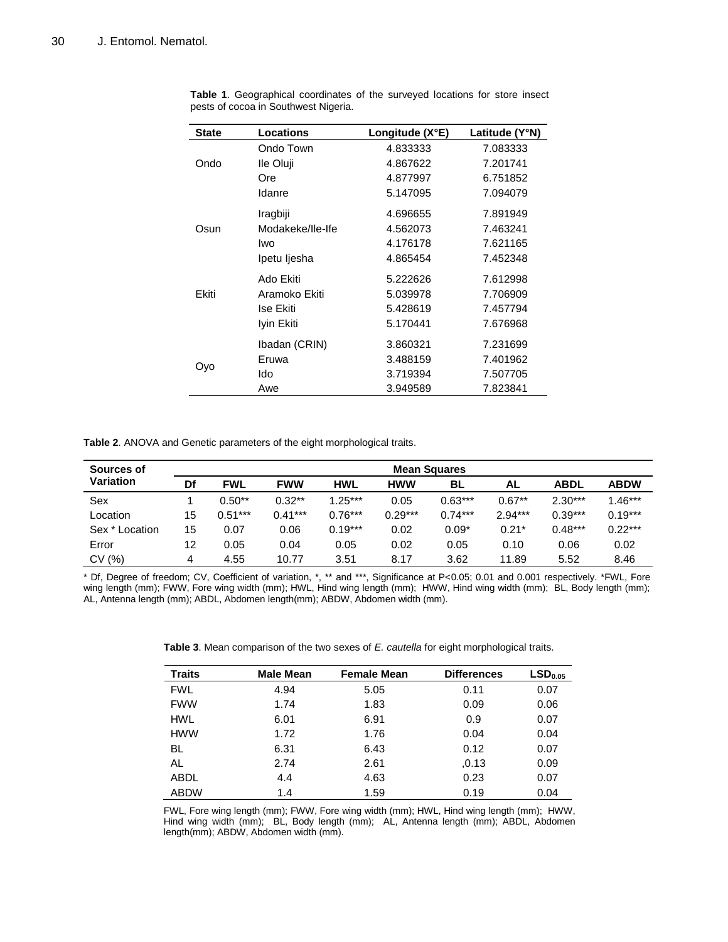| <b>State</b> | Locations        | Longitude $(X^{\circ}E)$ | Latitude (Y°N) |  |  |
|--------------|------------------|--------------------------|----------------|--|--|
|              | Ondo Town        | 4.833333                 | 7.083333       |  |  |
| Ondo         | Ile Oluji        | 4.867622                 | 7.201741       |  |  |
|              | Ore              | 4.877997                 | 6.751852       |  |  |
|              | Idanre           | 5.147095                 | 7.094079       |  |  |
|              | Iragbiji         | 4.696655                 | 7.891949       |  |  |
| Osun         | Modakeke/Ile-Ife | 4.562073                 | 7.463241       |  |  |
|              | Iwo              | 4.176178                 | 7.621165       |  |  |
|              | Ipetu ljesha     | 4.865454                 | 7.452348       |  |  |
|              | Ado Ekiti        | 5.222626                 | 7.612998       |  |  |
| Ekiti        | Aramoko Ekiti    | 5.039978                 | 7.706909       |  |  |
|              | Ise Ekiti        | 5.428619                 | 7.457794       |  |  |
|              | Iyin Ekiti       | 5.170441                 | 7.676968       |  |  |
|              | Ibadan (CRIN)    | 3.860321                 | 7.231699       |  |  |
| Ovo          | Eruwa            | 3.488159                 | 7.401962       |  |  |
|              | Ido              | 3.719394                 | 7.507705       |  |  |
|              | Awe              | 3.949589                 | 7.823841       |  |  |

**Table 1**. Geographical coordinates of the surveyed locations for store insect pests of cocoa in Southwest Nigeria.

**Table 2**. ANOVA and Genetic parameters of the eight morphological traits.

| Sources of     |    |            |            |            |            | <b>Mean Squares</b> |           |           |             |
|----------------|----|------------|------------|------------|------------|---------------------|-----------|-----------|-------------|
| Variation      | Df | <b>FWL</b> | <b>FWW</b> | <b>HWL</b> | <b>HWW</b> | BL                  | AL        | ABDL      | <b>ABDW</b> |
| Sex            |    | $0.50**$   | $0.32**$   | $1.25***$  | 0.05       | $0.63***$           | $0.67**$  | $2.30***$ | $1.46***$   |
| Location       | 15 | $0.51***$  | $0.41***$  | $0.76***$  | $0.29***$  | $0.74***$           | $2.94***$ | $0.39***$ | $0.19***$   |
| Sex * Location | 15 | 0.07       | 0.06       | $0.19***$  | 0.02       | $0.09*$             | $0.21*$   | $0.48***$ | $0.22***$   |
| Error          | 12 | 0.05       | 0.04       | 0.05       | 0.02       | 0.05                | 0.10      | 0.06      | 0.02        |
| CV (%)         | 4  | 4.55       | 10.77      | 3.51       | 8.17       | 3.62                | 11.89     | 5.52      | 8.46        |

\* Df, Degree of freedom; CV, Coefficient of variation, \*, \*\* and \*\*\*, Significance at P<0.05; 0.01 and 0.001 respectively. \*FWL, Fore wing length (mm); FWW, Fore wing width (mm); HWL, Hind wing length (mm); HWW, Hind wing width (mm); BL, Body length (mm); AL, Antenna length (mm); ABDL, Abdomen length(mm); ABDW, Abdomen width (mm).

**Table 3**. Mean comparison of the two sexes of *E. cautella* for eight morphological traits.

| <b>Traits</b> | <b>Male Mean</b> | <b>Female Mean</b> | <b>Differences</b> | LSD <sub>0.05</sub> |
|---------------|------------------|--------------------|--------------------|---------------------|
| <b>FWL</b>    | 4.94             | 5.05               | 0.11               | 0.07                |
| <b>FWW</b>    | 1.74             | 1.83               | 0.09               | 0.06                |
| HWL           | 6.01             | 6.91               | 0.9                | 0.07                |
| <b>HWW</b>    | 1.72             | 1.76               | 0.04               | 0.04                |
| BL            | 6.31             | 6.43               | 0.12               | 0.07                |
| AL            | 2.74             | 2.61               | 0.13               | 0.09                |
| ABDL          | 4.4              | 4.63               | 0.23               | 0.07                |
| ABDW          | 1.4              | 1.59               | 0.19               | 0.04                |

FWL, Fore wing length (mm); FWW, Fore wing width (mm); HWL, Hind wing length (mm); HWW, Hind wing width (mm); BL, Body length (mm); AL, Antenna length (mm); ABDL, Abdomen length(mm); ABDW, Abdomen width (mm).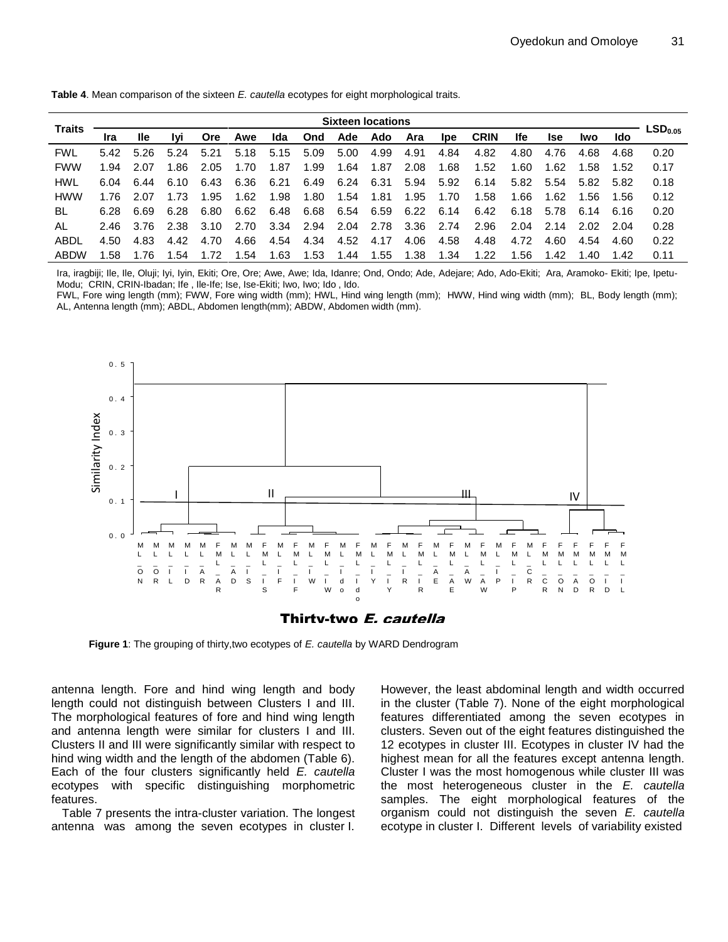**Table 4**. Mean comparison of the sixteen *E. cautella* ecotypes for eight morphological traits.

|               |      |      |       |            |      |      |      | <b>Sixteen locations</b> |      |      |            |             |      |            |      |       |                       |
|---------------|------|------|-------|------------|------|------|------|--------------------------|------|------|------------|-------------|------|------------|------|-------|-----------------------|
| <b>Traits</b> | Ira  | lle  | Ivi   | <b>Ore</b> | Awe  | Ida  | Ond  | Ade                      | Ado  | Ara  | <b>Ipe</b> | <b>CRIN</b> | lfe. | <b>Ise</b> | lwo. | Ido   | $\mathsf{LSD}_{0.05}$ |
| <b>FWL</b>    | 5.42 | 5.26 | 5.24  | 5.21       | 5.18 | 5.15 | 5.09 | 5.00                     | 4.99 | 4.91 | 4.84       | 4.82        | 4.80 | 4.76       | 4.68 | 4.68  | 0.20                  |
| <b>FWW</b>    | 1.94 | 2.07 | 1.86  | 2.05       | 1.70 | 1.87 | 1.99 | 1.64                     | 1.87 | 2.08 | 1.68       | 1.52        | 1.60 | 1.62       | 1.58 | 1.52  | 0.17                  |
| HWL           | 6.04 | 6.44 | 6.10  | 6.43       | 6.36 | 6.21 | 6.49 | 6.24                     | 6.31 | 5.94 | 5.92       | 6.14        | 5.82 | 5.54       | 5.82 | 5.82  | 0.18                  |
| <b>HWW</b>    | 1.76 | 2.07 | 1.73  | 1.95       | 1.62 | 1.98 | 1.80 | 1.54                     | 1.81 | 1.95 | 1.70       | 1.58        | 1.66 | 1.62       | 1.56 | 1.56  | 0.12                  |
| BL            | 6.28 | 6.69 | 6.28  | 6.80       | 6.62 | 6.48 | 6.68 | 6.54                     | 6.59 | 6.22 | 6.14       | 6.42        | 6.18 | 5.78       | 6.14 | -6.16 | 0.20                  |
| AL            | 2.46 | 3.76 | -2.38 | 3.10       | 2.70 | 3.34 | 2.94 | 2.04                     | 2.78 | 3.36 | 2.74       | 2.96        | 2.04 | 2.14       | 2.02 | 2.04  | 0.28                  |
| ABDL          | 4.50 | 4.83 | 4.42  | 4.70       | 4.66 | 4.54 | 4.34 | 4.52                     | 4.17 | 4.06 | 4.58       | 4.48        | 4.72 | 4.60       | 4.54 | 4.60  | 0.22                  |
| ABDW          | .58  | 176  | .54   | 1.72       | .54  | .63  | 1.53 | 1.44                     | 1.55 | 1.38 | 1.34       | 1.22        | 1.56 | 1.42       | 1.40 | 1.42  | 0.11                  |

Ira, iragbiji; Ile, Ile, Oluji; Iyi, Iyin, Ekiti; Ore, Ore; Awe, Awe; Ida, Idanre; Ond, Ondo; Ade, Adejare; Ado, Ado-Ekiti; Ara, Aramoko- Ekiti; Ipe, Ipetu-Modu; CRIN, CRIN-Ibadan; Ife , Ile-Ife; Ise, Ise-Ekiti; Iwo, Iwo; Ido , Ido.

FWL, Fore wing length (mm); FWW, Fore wing width (mm); HWL, Hind wing length (mm); HWW, Hind wing width (mm); BL, Body length (mm); AL, Antenna length (mm); ABDL, Abdomen length(mm); ABDW, Abdomen width (mm).





**Figure 1**: The grouping of thirty,two ecotypes of *E. cautella* by WARD Dendrogram

antenna length. Fore and hind wing length and body length could not distinguish between Clusters I and III. The morphological features of fore and hind wing length and antenna length were similar for clusters I and III. Clusters II and III were significantly similar with respect to hind wing width and the length of the abdomen (Table 6). Each of the four clusters significantly held *E. cautella* ecotypes with specific distinguishing morphometric features.

Table 7 presents the intra-cluster variation. The longest antenna was among the seven ecotypes in cluster I.

However, the least abdominal length and width occurred in the cluster (Table 7). None of the eight morphological features differentiated among the seven ecotypes in clusters. Seven out of the eight features distinguished the 12 ecotypes in cluster III. Ecotypes in cluster IV had the highest mean for all the features except antenna length. Cluster I was the most homogenous while cluster III was the most heterogeneous cluster in the *E. cautella* samples. The eight morphological features of the organism could not distinguish the seven *E. cautella* ecotype in cluster I. Different levels of variability existed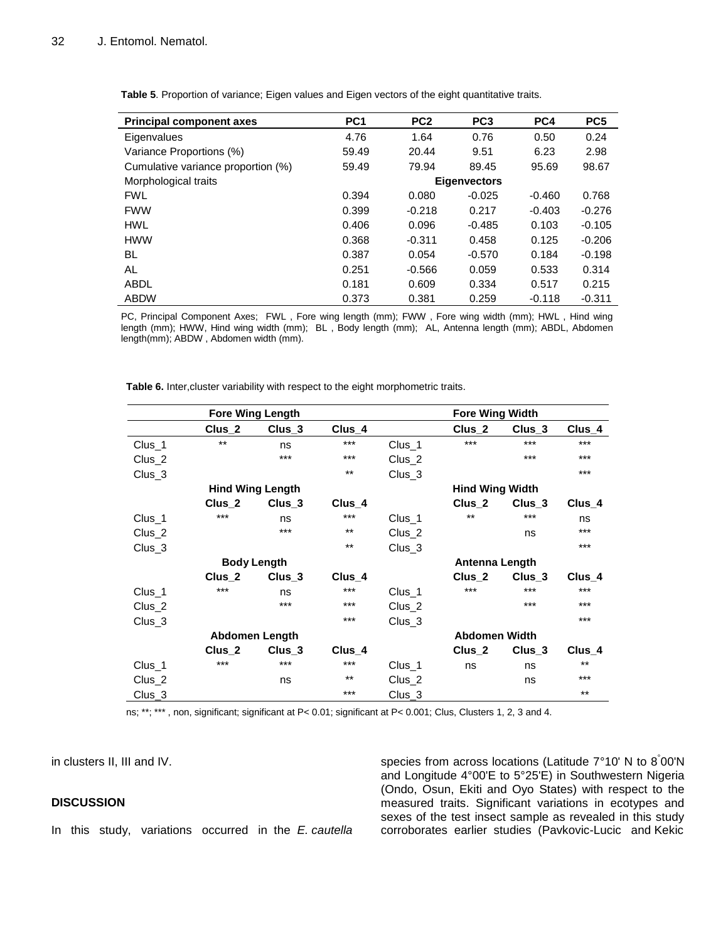| <b>Principal component axes</b>    | PC <sub>1</sub> | PC <sub>2</sub> | PC <sub>3</sub>     | PC4      | PC <sub>5</sub> |
|------------------------------------|-----------------|-----------------|---------------------|----------|-----------------|
| Eigenvalues                        | 4.76            | 1.64            | 0.76                | 0.50     | 0.24            |
| Variance Proportions (%)           | 59.49           | 20.44           | 9.51                | 6.23     | 2.98            |
| Cumulative variance proportion (%) | 59.49           | 79.94           | 89.45               | 95.69    | 98.67           |
| Morphological traits               |                 |                 | <b>Eigenvectors</b> |          |                 |
| <b>FWL</b>                         | 0.394           | 0.080           | $-0.025$            | $-0.460$ | 0.768           |
| <b>FWW</b>                         | 0.399           | $-0.218$        | 0.217               | $-0.403$ | $-0.276$        |
| <b>HWL</b>                         | 0.406           | 0.096           | $-0.485$            | 0.103    | $-0.105$        |
| <b>HWW</b>                         | 0.368           | $-0.311$        | 0.458               | 0.125    | $-0.206$        |
| BL                                 | 0.387           | 0.054           | $-0.570$            | 0.184    | $-0.198$        |
| AL                                 | 0.251           | $-0.566$        | 0.059               | 0.533    | 0.314           |
| ABDL                               | 0.181           | 0.609           | 0.334               | 0.517    | 0.215           |
| <b>ABDW</b>                        | 0.373           | 0.381           | 0.259               | $-0.118$ | $-0.311$        |

**Table 5**. Proportion of variance; Eigen values and Eigen vectors of the eight quantitative traits.

PC, Principal Component Axes; FWL , Fore wing length (mm); FWW , Fore wing width (mm); HWL , Hind wing length (mm); HWW, Hind wing width (mm); BL , Body length (mm); AL, Antenna length (mm); ABDL, Abdomen length(mm); ABDW , Abdomen width (mm).

**Table 6.** Inter,cluster variability with respect to the eight morphometric traits.

|                   |                   | <b>Fore Wing Length</b> |          |                   | <b>Fore Wing Width</b> |                   |                   |  |  |
|-------------------|-------------------|-------------------------|----------|-------------------|------------------------|-------------------|-------------------|--|--|
|                   | Clus_2            | Clus <sub>3</sub>       | $Clus_4$ |                   | Clus <sub>2</sub>      | Clus <sub>3</sub> | Clus <sub>4</sub> |  |  |
| Clus_1            | $***$             | ns                      | $***$    | Clus_1            | $***$                  | $***$             | ***               |  |  |
| Clus <sub>2</sub> |                   | ***                     | $***$    | Clus <sub>2</sub> |                        | ***               | $***$             |  |  |
| $Clus_3$          |                   |                         | $***$    | Clus <sub>3</sub> |                        |                   | $***$             |  |  |
|                   |                   | <b>Hind Wing Length</b> |          |                   | <b>Hind Wing Width</b> |                   |                   |  |  |
|                   | Clus <sub>2</sub> | Clus_3                  | Clus_4   |                   | Clus <sub>2</sub>      | Clus <sub>3</sub> | Clus_4            |  |  |
| Clus_1            | ***               | ns                      | ***      | Clus_1            | $***$                  | ***               | ns                |  |  |
| Clus <sub>2</sub> |                   | ***                     | $***$    | Clus <sub>2</sub> |                        | ns                | ***               |  |  |
| Clus <sub>3</sub> |                   |                         | $***$    | Clus <sub>3</sub> |                        |                   | ***               |  |  |
|                   |                   | <b>Body Length</b>      |          |                   | Antenna Length         |                   |                   |  |  |
|                   | Clus <sub>2</sub> | $Clus_3$                | Clus_4   |                   | Clus_2                 | Clus <sub>3</sub> | Clus <sub>4</sub> |  |  |
| Clus_1            | ***               | ns                      | ***      | Clus_1            | ***                    | ***               | ***               |  |  |
| Clus_2            |                   | ***                     | $***$    | Clus <sub>2</sub> |                        | ***               | $***$             |  |  |
| Clus <sub>3</sub> |                   |                         | ***      | Clus <sub>3</sub> |                        |                   | $***$             |  |  |
|                   |                   | Abdomen Length          |          |                   | <b>Abdomen Width</b>   |                   |                   |  |  |
|                   | Clus <sub>2</sub> | Clus_3                  | Clus_4   |                   | Clus <sub>2</sub>      | Clus <sub>3</sub> | Clus <sub>4</sub> |  |  |
| Clus_1            | ***               | ***                     | ***      | Clus_1            | ns                     | ns                | $***$             |  |  |
| Clus_2            |                   | ns                      | $***$    | $Clus_2$          |                        | ns                | ***               |  |  |
| $Clus_3$          |                   |                         | ***      | $Clus_3$          |                        |                   | $***$             |  |  |

ns; \*\*; \*\*\* , non, significant; significant at P< 0.01; significant at P< 0.001; Clus, Clusters 1, 2, 3 and 4.

in clusters II, III and IV.

## **DISCUSSION**

In this study, variations occurred in the *E. cautella*

species from across locations (Latitude 7°10' N to 8° 00'N and Longitude 4°00'E to 5°25'E) in Southwestern Nigeria (Ondo, Osun, Ekiti and Oyo States) with respect to the measured traits. Significant variations in ecotypes and sexes of the test insect sample as revealed in this study corroborates earlier studies (Pavkovic-Lucic and Kekic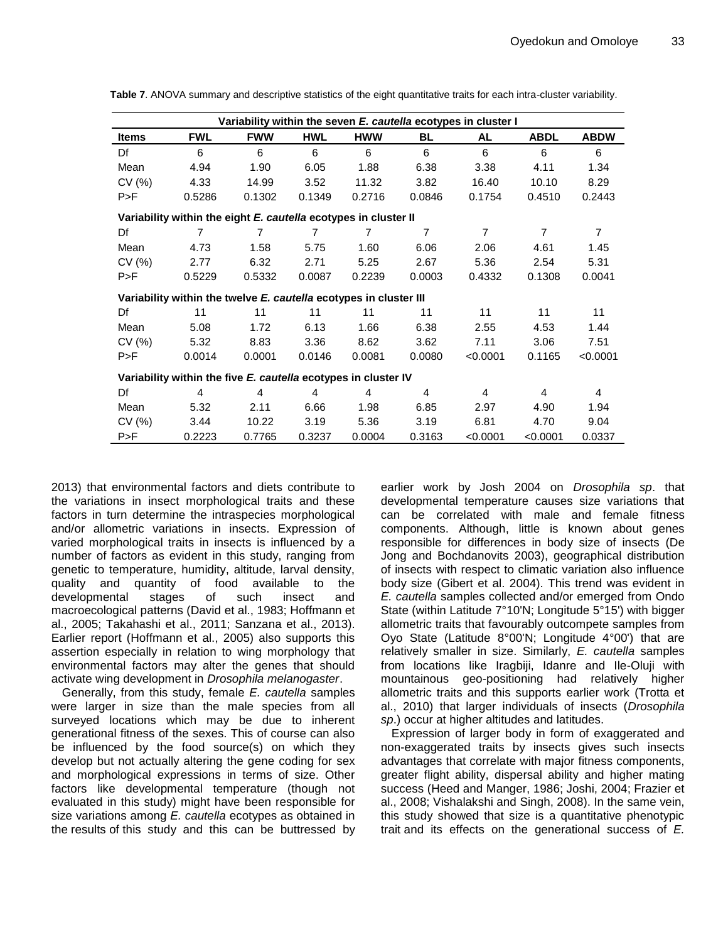| Variability within the seven E. cautella ecotypes in cluster I |                                                                   |            |                |            |                |                |                |                |  |  |  |  |
|----------------------------------------------------------------|-------------------------------------------------------------------|------------|----------------|------------|----------------|----------------|----------------|----------------|--|--|--|--|
| <b>Items</b>                                                   | <b>FWL</b>                                                        | <b>FWW</b> | <b>HWL</b>     | <b>HWW</b> | BL             | AL             | <b>ABDL</b>    | <b>ABDW</b>    |  |  |  |  |
| Df                                                             | 6                                                                 | 6          | 6              | 6          | 6              | 6              | 6              | 6              |  |  |  |  |
| Mean                                                           | 4.94                                                              | 1.90       | 6.05           | 1.88       | 6.38           | 3.38           | 4.11           | 1.34           |  |  |  |  |
| CV(%)                                                          | 4.33                                                              | 14.99      | 3.52           | 11.32      | 3.82           | 16.40          | 10.10          | 8.29           |  |  |  |  |
| P>F                                                            | 0.5286                                                            | 0.1302     | 0.1349         | 0.2716     | 0.0846         | 0.1754         | 0.4510         | 0.2443         |  |  |  |  |
|                                                                | Variability within the eight E. cautella ecotypes in cluster II   |            |                |            |                |                |                |                |  |  |  |  |
| Df                                                             | $\overline{7}$                                                    | 7          | $\overline{7}$ | 7          | $\overline{7}$ | $\overline{7}$ | $\overline{7}$ | $\overline{7}$ |  |  |  |  |
| Mean                                                           | 4.73                                                              | 1.58       | 5.75           | 1.60       | 6.06           | 2.06           | 4.61           | 1.45           |  |  |  |  |
| CV(%)                                                          | 2.77                                                              | 6.32       | 2.71           | 5.25       | 2.67           | 5.36           | 2.54           | 5.31           |  |  |  |  |
| P>F                                                            | 0.5229                                                            | 0.5332     | 0.0087         | 0.2239     | 0.0003         | 0.4332         | 0.1308         | 0.0041         |  |  |  |  |
|                                                                | Variability within the twelve E. cautella ecotypes in cluster III |            |                |            |                |                |                |                |  |  |  |  |
| Df                                                             | 11                                                                | 11         | 11             | 11         | 11             | 11             | 11             | 11             |  |  |  |  |
| Mean                                                           | 5.08                                                              | 1.72       | 6.13           | 1.66       | 6.38           | 2.55           | 4.53           | 1.44           |  |  |  |  |
| CV(%)                                                          | 5.32                                                              | 8.83       | 3.36           | 8.62       | 3.62           | 7.11           | 3.06           | 7.51           |  |  |  |  |
| P>F                                                            | 0.0014                                                            | 0.0001     | 0.0146         | 0.0081     | 0.0080         | < 0.0001       | 0.1165         | < 0.0001       |  |  |  |  |
| Variability within the five E. cautella ecotypes in cluster IV |                                                                   |            |                |            |                |                |                |                |  |  |  |  |
| Df                                                             | 4                                                                 | 4          | 4              | 4          | 4              | 4              | 4              | 4              |  |  |  |  |
| Mean                                                           | 5.32                                                              | 2.11       | 6.66           | 1.98       | 6.85           | 2.97           | 4.90           | 1.94           |  |  |  |  |
| CV(%)                                                          | 3.44                                                              | 10.22      | 3.19           | 5.36       | 3.19           | 6.81           | 4.70           | 9.04           |  |  |  |  |
| P>F                                                            | 0.2223                                                            | 0.7765     | 0.3237         | 0.0004     | 0.3163         | < 0.0001       | < 0.0001       | 0.0337         |  |  |  |  |

**Table 7**. ANOVA summary and descriptive statistics of the eight quantitative traits for each intra-cluster variability.

2013) that environmental factors and diets contribute to the variations in insect morphological traits and these factors in turn determine the intraspecies morphological and/or allometric variations in insects. Expression of varied morphological traits in insects is influenced by a number of factors as evident in this study, ranging from genetic to temperature, humidity, altitude, larval density, quality and quantity of food available to the developmental stages of such insect and macroecological patterns (David et al., 1983; Hoffmann et al., 2005; Takahashi et al., 2011; Sanzana et al., 2013). Earlier report (Hoffmann et al., 2005) also supports this assertion especially in relation to wing morphology that environmental factors may alter the genes that should activate wing development in *Drosophila melanogaster*.

Generally, from this study, female *E. cautella* samples were larger in size than the male species from all surveyed locations which may be due to inherent generational fitness of the sexes. This of course can also be influenced by the food source(s) on which they develop but not actually altering the gene coding for sex and morphological expressions in terms of size. Other factors like developmental temperature (though not evaluated in this study) might have been responsible for size variations among *E. cautella* ecotypes as obtained in the results of this study and this can be buttressed by earlier work by Josh 2004 on *Drosophila sp*. that developmental temperature causes size variations that can be correlated with male and female fitness components. Although, little is known about genes responsible for differences in body size of insects (De Jong and Bochdanovits 2003), geographical distribution of insects with respect to climatic variation also influence body size (Gibert et al. 2004). This trend was evident in *E. cautella* samples collected and/or emerged from Ondo State (within Latitude 7°10'N; Longitude 5°15') with bigger allometric traits that favourably outcompete samples from Oyo State (Latitude 8°00'N; Longitude 4°00') that are relatively smaller in size. Similarly, *E. cautella* samples from locations like Iragbiji, Idanre and Ile-Oluji with mountainous geo-positioning had relatively higher allometric traits and this supports earlier work (Trotta et al., 2010) that larger individuals of insects (*Drosophila sp*.) occur at higher altitudes and latitudes.

Expression of larger body in form of exaggerated and non-exaggerated traits by insects gives such insects advantages that correlate with major fitness components, greater flight ability, dispersal ability and higher mating success (Heed and Manger, 1986; Joshi, 2004; Frazier et al., 2008; Vishalakshi and Singh, 2008). In the same vein, this study showed that size is a quantitative phenotypic trait and its effects on the generational success of *E.*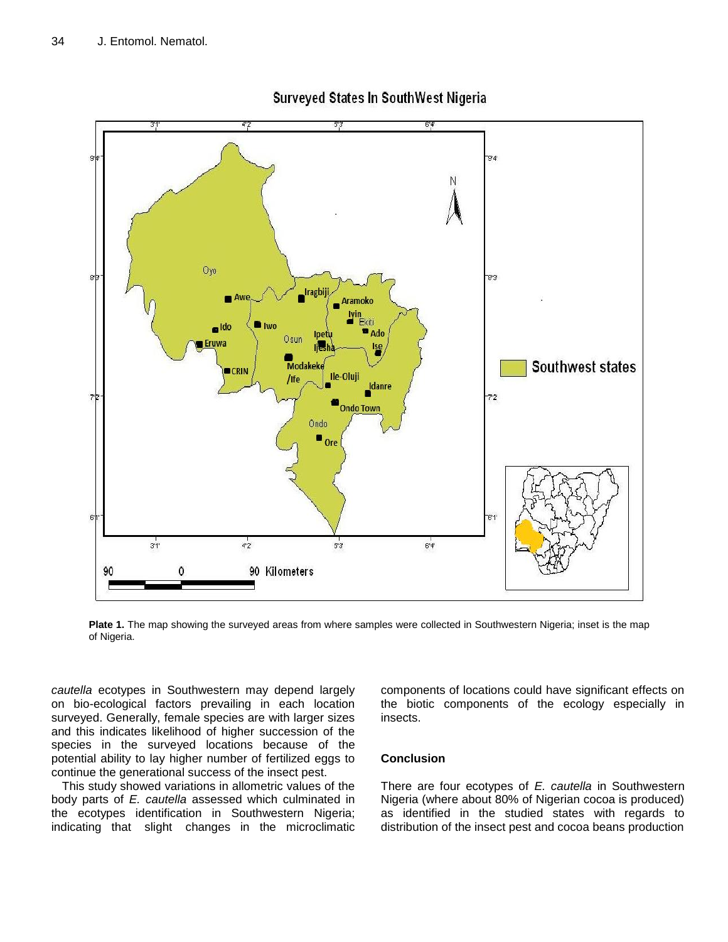

**Surveyed States In SouthWest Nigeria** 

**Plate 1.** The map showing the surveyed areas from where samples were collected in Southwestern Nigeria; inset is the map of Nigeria.

*cautella* ecotypes in Southwestern may depend largely on bio-ecological factors prevailing in each location surveyed. Generally, female species are with larger sizes and this indicates likelihood of higher succession of the species in the surveyed locations because of the potential ability to lay higher number of fertilized eggs to continue the generational success of the insect pest.

This study showed variations in allometric values of the body parts of *E. cautella* assessed which culminated in the ecotypes identification in Southwestern Nigeria; indicating that slight changes in the microclimatic

components of locations could have significant effects on the biotic components of the ecology especially in insects.

# **Conclusion**

There are four ecotypes of *E. cautella* in Southwestern Nigeria (where about 80% of Nigerian cocoa is produced) as identified in the studied states with regards to distribution of the insect pest and cocoa beans production